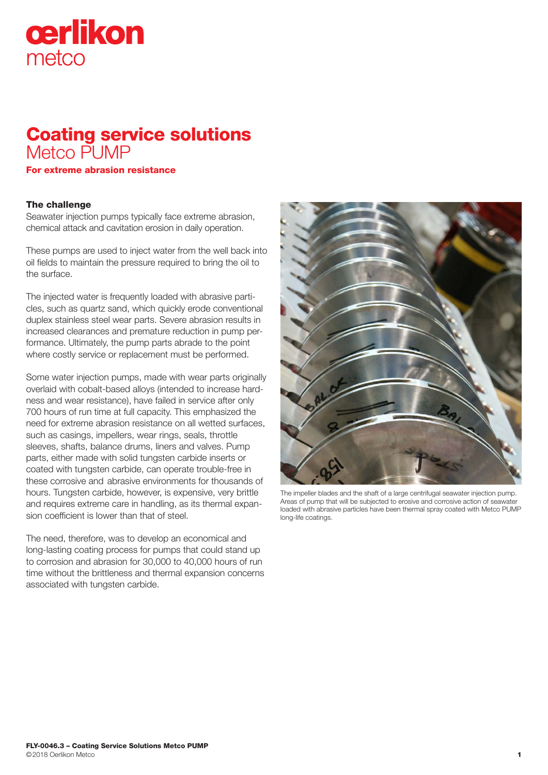# cerlikon metco

## Coating service solutions Metco PUMP

For extreme abrasion resistance

### The challenge

Seawater injection pumps typically face extreme abrasion, chemical attack and cavitation erosion in daily operation.

These pumps are used to inject water from the well back into oil fields to maintain the pressure required to bring the oil to the surface.

The injected water is frequently loaded with abrasive particles, such as quartz sand, which quickly erode conventional duplex stainless steel wear parts. Severe abrasion results in increased clearances and premature reduction in pump performance. Ultimately, the pump parts abrade to the point where costly service or replacement must be performed.

Some water injection pumps, made with wear parts originally overlaid with cobalt-based alloys (intended to increase hardness and wear resistance), have failed in service after only 700 hours of run time at full capacity. This emphasized the need for extreme abrasion resistance on all wetted surfaces, such as casings, impellers, wear rings, seals, throttle sleeves, shafts, balance drums, liners and valves. Pump parts, either made with solid tungsten carbide inserts or coated with tungsten carbide, can operate trouble-free in these corrosive and abrasive environments for thousands of hours. Tungsten carbide, however, is expensive, very brittle and requires extreme care in handling, as its thermal expansion coefficient is lower than that of steel.

The need, therefore, was to develop an economical and long-lasting coating process for pumps that could stand up to corrosion and abrasion for 30,000 to 40,000 hours of run time without the brittleness and thermal expansion concerns associated with tungsten carbide.



The impeller blades and the shaft of a large centrifugal seawater injection pump. Areas of pump that will be subjected to erosive and corrosive action of seawater loaded with abrasive particles have been thermal spray coated with Metco PUMP long-life coatings.